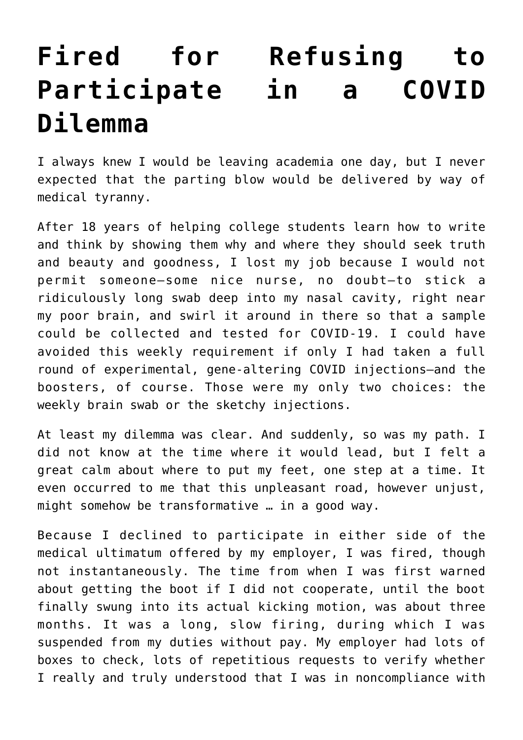## **[Fired for Refusing to](https://intellectualtakeout.org/2022/01/fired-for-refusing-to-participate-in-a-covid-dilemma/) [Participate in a COVID](https://intellectualtakeout.org/2022/01/fired-for-refusing-to-participate-in-a-covid-dilemma/) [Dilemma](https://intellectualtakeout.org/2022/01/fired-for-refusing-to-participate-in-a-covid-dilemma/)**

I always knew I would be leaving academia one day, but I never expected that the parting blow would be delivered by way of medical tyranny.

After 18 years of helping college students learn how to write and think by showing them why and where they should seek truth and beauty and goodness, I lost my job because I would not permit someone—some nice nurse, no doubt—to stick a ridiculously long swab deep into my nasal cavity, right near my poor brain, and swirl it around in there so that a sample could be collected and tested for COVID-19. I could have avoided this weekly requirement if only I had taken a full round of experimental, gene-altering COVID injections—and the boosters, of course. Those were my only two choices: the weekly brain swab or the sketchy injections.

At least my dilemma was clear. And suddenly, so was my path. I did not know at the time where it would lead, but I felt a great calm about where to put my feet, one step at a time. It even occurred to me that this unpleasant road, however unjust, might somehow be transformative … in a good way.

Because I declined to participate in either side of the medical ultimatum offered by my employer, I was fired, though not instantaneously. The time from when I was first warned about getting the boot if I did not cooperate, until the boot finally swung into its actual kicking motion, was about three months. It was a long, slow firing, during which I was suspended from my duties without pay. My employer had lots of boxes to check, lots of repetitious requests to verify whether I really and truly understood that I was in noncompliance with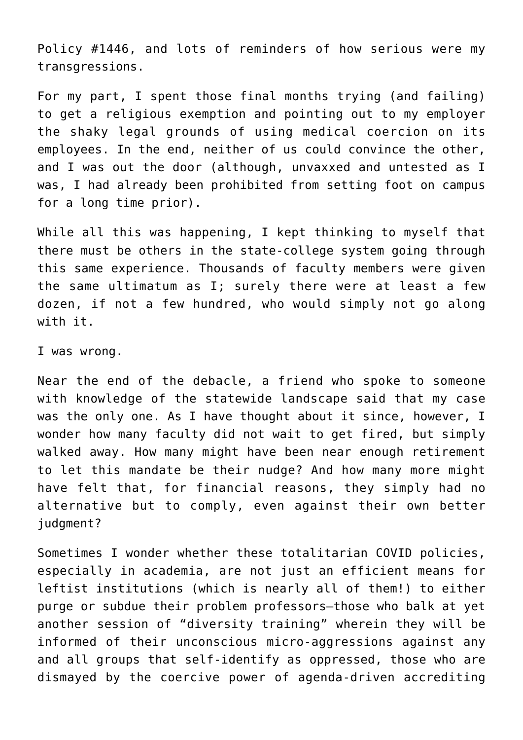Policy #1446, and lots of reminders of how serious were my transgressions.

For my part, I spent those final months trying (and failing) to get a religious exemption and pointing out to my employer the shaky legal grounds of using medical coercion on its employees. In the end, neither of us could convince the other, and I was out the door (although, unvaxxed and untested as I was, I had already been prohibited from setting foot on campus for a long time prior).

While all this was happening, I kept thinking to myself that there must be others in the state-college system going through this same experience. Thousands of faculty members were given the same ultimatum as I; surely there were at least a few dozen, if not a few hundred, who would simply not go along with it.

I was wrong.

Near the end of the debacle, a friend who spoke to someone with knowledge of the statewide landscape said that my case was the only one. As I have thought about it since, however, I wonder how many faculty did not wait to get fired, but simply walked away. How many might have been near enough retirement to let this mandate be their nudge? And how many more might have felt that, for financial reasons, they simply had no alternative but to comply, even against their own better judgment?

Sometimes I wonder whether these totalitarian COVID policies, especially in academia, are not just an efficient means for leftist institutions (which is nearly all of them!) to either purge or subdue their problem professors—those who balk at yet another session of "diversity training" wherein they will be informed of their unconscious micro-aggressions against any and all groups that self-identify as oppressed, those who are dismayed by the coercive power of agenda-driven accrediting